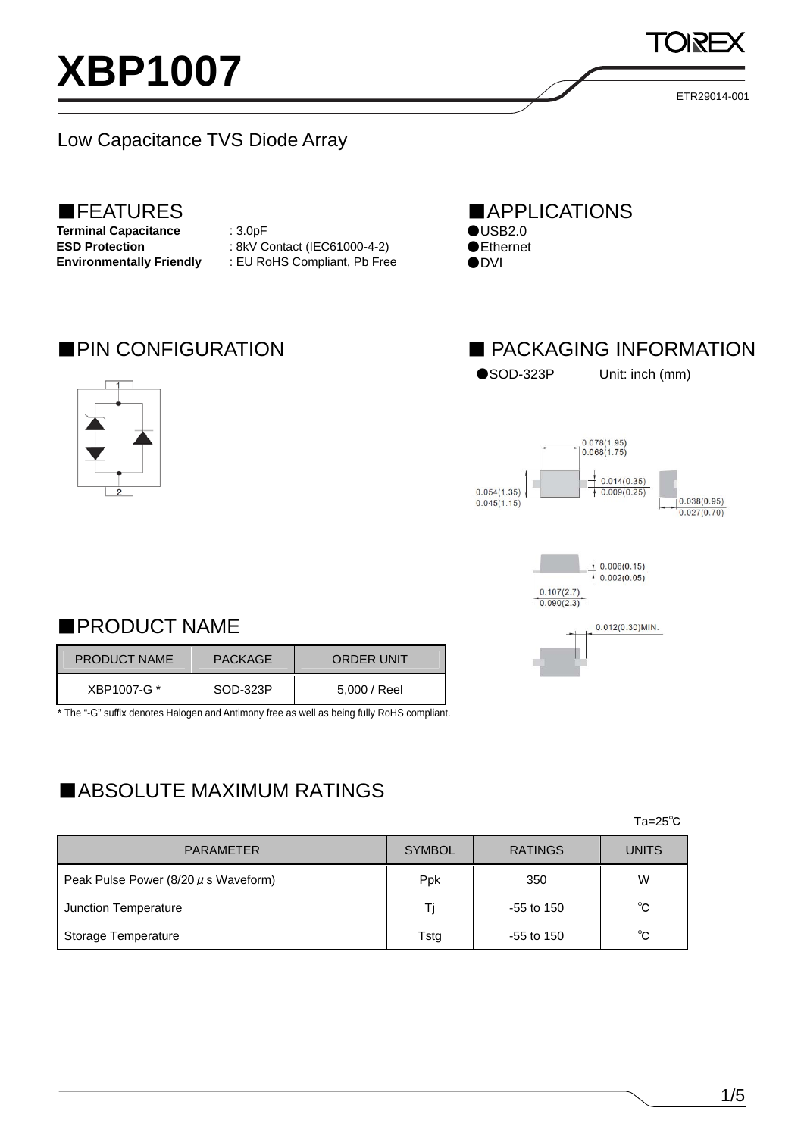



## ■PRODUCT NAME

| <b>PRODUCT NAME</b> | <b>PACKAGE</b> | ORDER UNIT   |
|---------------------|----------------|--------------|
| XBP1007-G *         | SOD-323P       | 5,000 / Reel |

\* The "-G" suffix denotes Halogen and Antimony free as well as being fully RoHS compliant.

## ■ABSOLUTE MAXIMUM RATINGS

 $\mathsf{Ta}=\mathsf{25^{\circ}C}$ 

| <b>PARAMETER</b>                         | <b>SYMBOL</b> | <b>RATINGS</b> | <b>UNITS</b> |
|------------------------------------------|---------------|----------------|--------------|
| Peak Pulse Power $(8/20 \mu s$ Waveform) | Ppk           | 350            | W            |
| Junction Temperature                     | Ti            | $-55$ to 150   | $^{\circ}$ C |
| Storage Temperature                      | Tstg          | $-55$ to 150   | $^{\circ}$ C |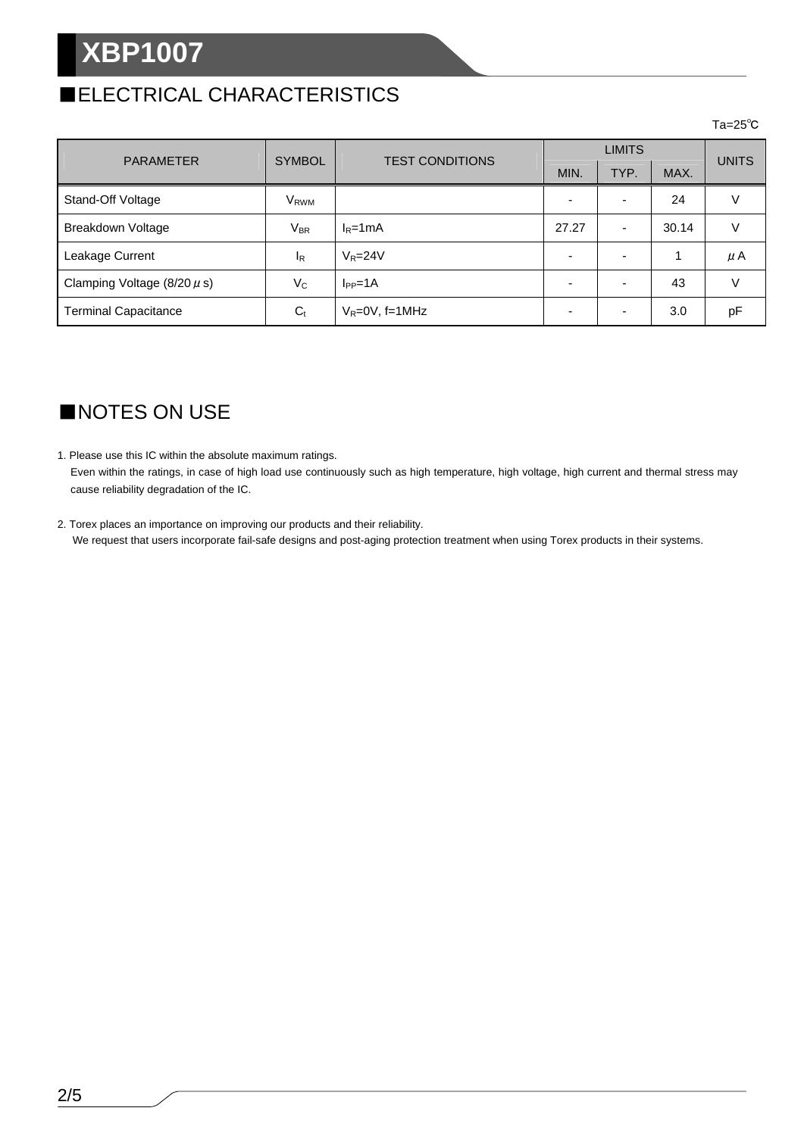# **XBP1007**

# ■ELECTRICAL CHARACTERISTICS

#### $\mathsf{Ta}=\mathsf{25^{\circ}C}$

|                                 | <b>SYMBOL</b>          | <b>TEST CONDITIONS</b> | <b>LIMITS</b> |      |       |              |
|---------------------------------|------------------------|------------------------|---------------|------|-------|--------------|
| <b>PARAMETER</b>                |                        |                        | MIN.          | TYP. | MAX.  | <b>UNITS</b> |
| Stand-Off Voltage               | <b>V<sub>RWM</sub></b> |                        |               |      | 24    |              |
| Breakdown Voltage               | $V_{BR}$               | $I_R = 1mA$            | 27.27         |      | 30.14 |              |
| Leakage Current                 | $I_{\rm R}$            | $V_R = 24V$            |               |      | 4     | μA           |
| Clamping Voltage $(8/20 \mu s)$ | $V_C$                  | $I_{PP} = 1A$          |               |      | 43    |              |
| <b>Terminal Capacitance</b>     | $C_{t}$                | $V_R = 0V$ , f=1MHz    |               |      | 3.0   | pF           |

# ■NOTES ON USE

- 1. Please use this IC within the absolute maximum ratings. Even within the ratings, in case of high load use continuously such as high temperature, high voltage, high current and thermal stress may cause reliability degradation of the IC.
- 2. Torex places an importance on improving our products and their reliability. We request that users incorporate fail-safe designs and post-aging protection treatment when using Torex products in their systems.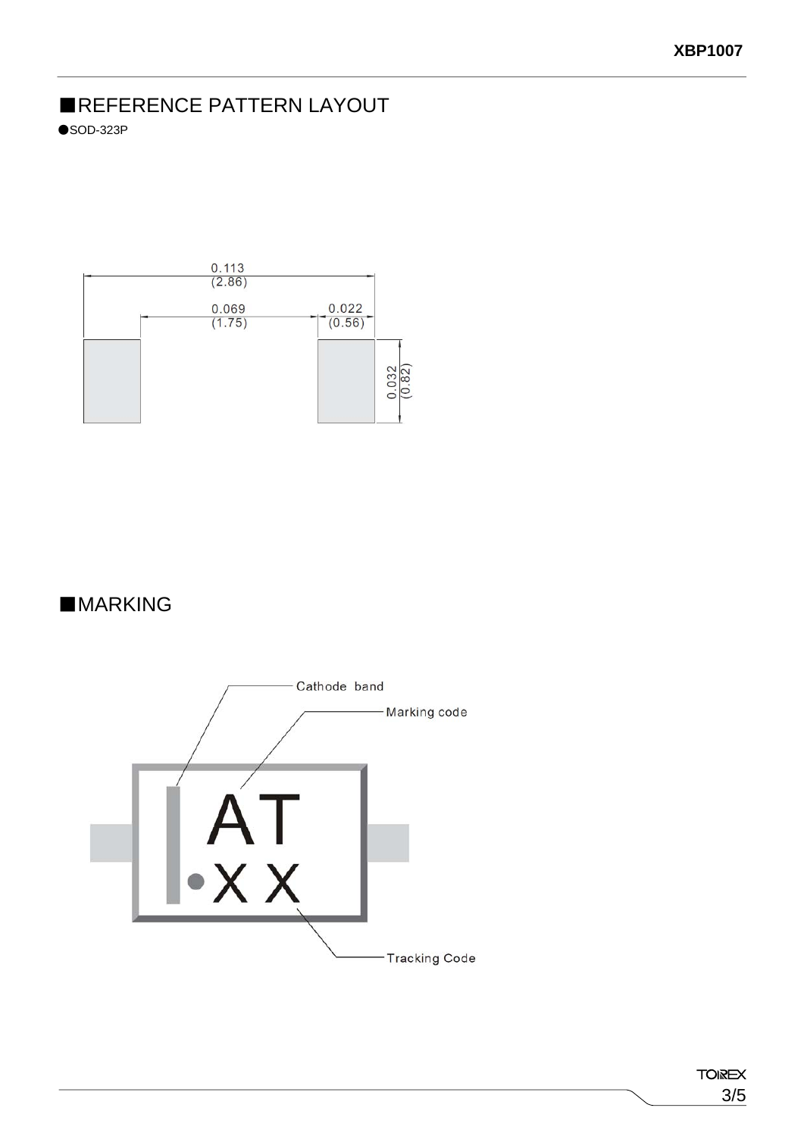# ■REFERENCE PATTERN LAYOUT

 $\bullet$ SOD-323P



## ■**MARKING**

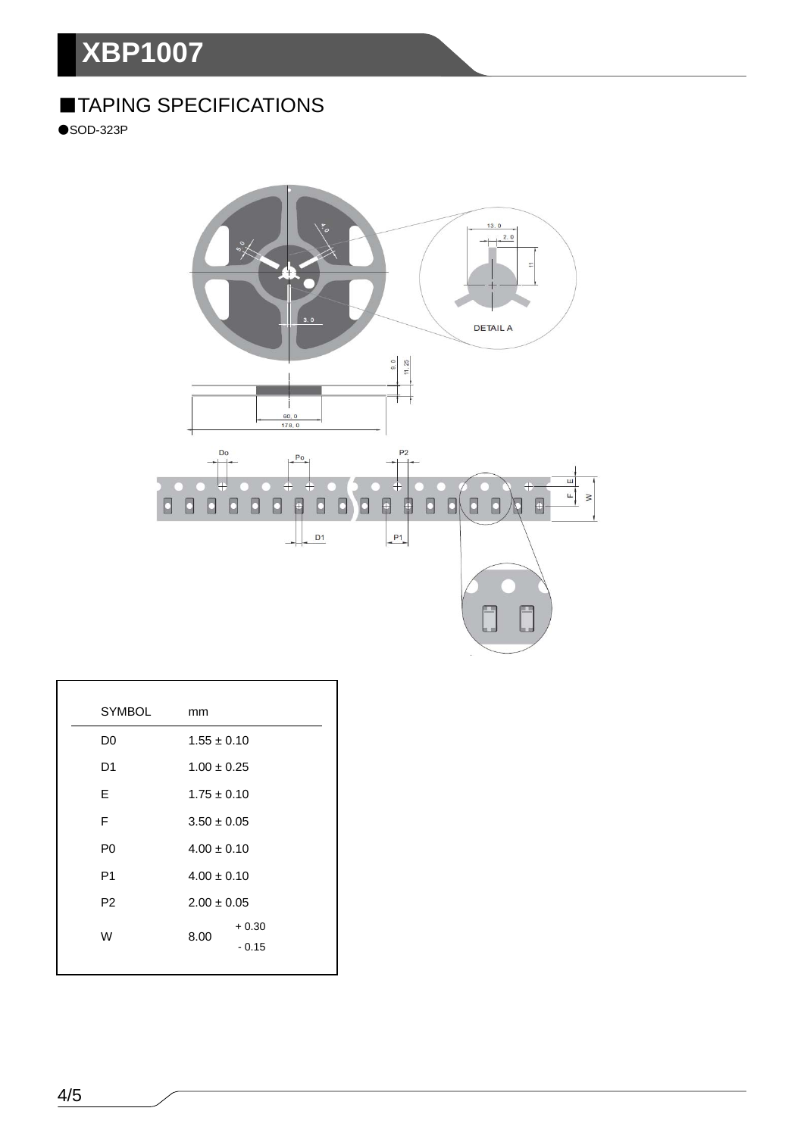# **XBP1007**

# ■TAPING SPECIFICATIONS

●SOD-323P



| <b>SYMBOL</b>  | mm                         |
|----------------|----------------------------|
| D0             | $1.55 \pm 0.10$            |
| D <sub>1</sub> | $1.00 \pm 0.25$            |
| E              | $1.75 \pm 0.10$            |
| F              | $3.50 \pm 0.05$            |
| P <sub>0</sub> | $4.00 \pm 0.10$            |
| P <sub>1</sub> | $4.00 \pm 0.10$            |
| P <sub>2</sub> | $2.00 \pm 0.05$            |
| W              | $+0.30$<br>8.00<br>$-0.15$ |
|                |                            |